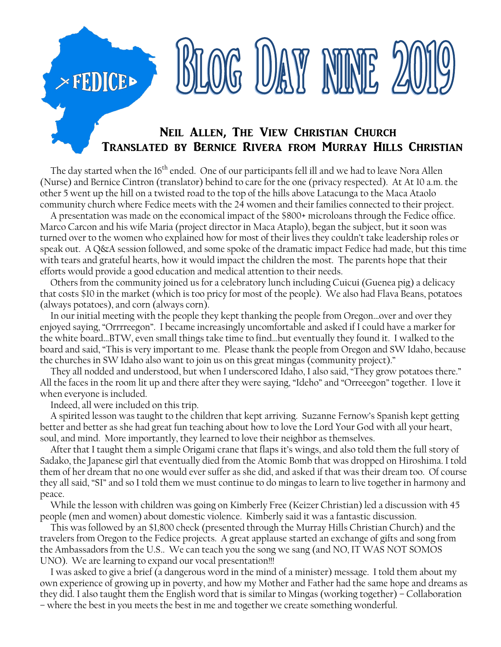## Neil Allen, The View Christian Church Translated by Bernice Rivera from Murray Hills Christian

BLOG UAY NINE 2

The day started when the 16<sup>th</sup> ended. One of our participants fell ill and we had to leave Nora Allen (Nurse) and Bernice Cintron (translator) behind to care for the one (privacy respected). At At 10 a.m. the other 5 went up the hill on a twisted road to the top of the hills above Latacunga to the Maca Ataolo community church where Fedice meets with the 24 women and their families connected to their project.

 A presentation was made on the economical impact of the \$800+ microloans through the Fedice office. Marco Carcon and his wife Maria (project director in Maca Ataplo), began the subject, but it soon was turned over to the women who explained how for most of their lives they couldn't take leadership roles or speak out. A Q&A session followed, and some spoke of the dramatic impact Fedice had made, but this time with tears and grateful hearts, how it would impact the children the most. The parents hope that their efforts would provide a good education and medical attention to their needs.

 Others from the community joined us for a celebratory lunch including Cuicui (Guenea pig) a delicacy that costs \$10 in the market (which is too pricy for most of the people). We also had Flava Beans, potatoes (always potatoes), and corn (always corn).

 In our initial meeting with the people they kept thanking the people from Oregon…over and over they enjoyed saying, "Orrrreegon". I became increasingly uncomfortable and asked if I could have a marker for the white board…BTW, even small things take time to find…but eventually they found it. I walked to the board and said, "This is very important to me. Please thank the people from Oregon and SW Idaho, because the churches in SW Idaho also want to join us on this great mingas (community project)."

 They all nodded and understood, but when I underscored Idaho, I also said, "They grow potatoes there." All the faces in the room lit up and there after they were saying, "Ideho" and "Orreeegon" together. I love it when everyone is included.

Indeed, all were included on this trip.

**FEDICE>** 

 A spirited lesson was taught to the children that kept arriving. Suzanne Fernow's Spanish kept getting better and better as she had great fun teaching about how to love the Lord Your God with all your heart, soul, and mind. More importantly, they learned to love their neighbor as themselves.

 After that I taught them a simple Origami crane that flaps it's wings, and also told them the full story of Sadako, the Japanese girl that eventually died from the Atomic Bomb that was dropped on Hiroshima. I told them of her dream that no one would ever suffer as she did, and asked if that was their dream too. Of course they all said, "SI" and so I told them we must continue to do mingas to learn to live together in harmony and peace.

 While the lesson with children was going on Kimberly Free (Keizer Christian) led a discussion with 45 people (men and women) about domestic violence. Kimberly said it was a fantastic discussion.

 This was followed by an \$1,800 check (presented through the Murray Hills Christian Church) and the travelers from Oregon to the Fedice projects. A great applause started an exchange of gifts and song from the Ambassadors from the U.S.. We can teach you the song we sang (and NO, IT WAS NOT SOMOS UNO). We are learning to expand our vocal presentation!!!

 I was asked to give a brief (a dangerous word in the mind of a minister) message. I told them about my own experience of growing up in poverty, and how my Mother and Father had the same hope and dreams as they did. I also taught them the English word that is similar to Mingas (working together) – Collaboration – where the best in you meets the best in me and together we create something wonderful.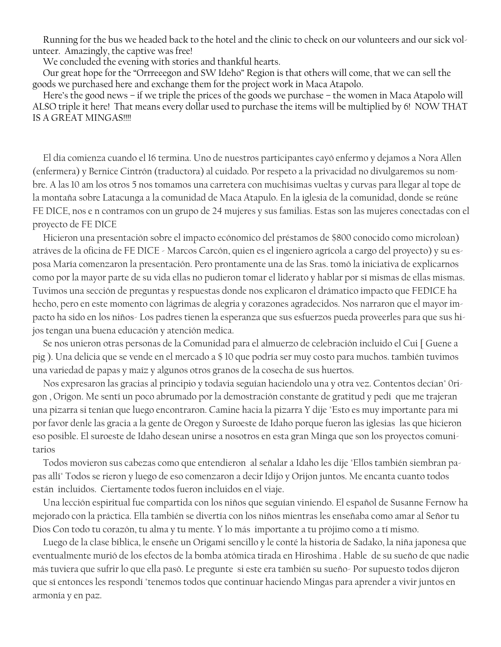Running for the bus we headed back to the hotel and the clinic to check on our volunteers and our sick volunteer. Amazingly, the captive was free!

We concluded the evening with stories and thankful hearts.

 Our great hope for the "Orrreeegon and SW Ideho" Region is that others will come, that we can sell the goods we purchased here and exchange them for the project work in Maca Atapolo.

 Here's the good news – if we triple the prices of the goods we purchase – the women in Maca Atapolo will ALSO triple it here! That means every dollar used to purchase the items will be multiplied by 6! NOW THAT IS A GREAT MINGAS!!!!

 El día comienza cuando el 16 termina. Uno de nuestros participantes cayó enfermo y dejamos a Nora Allen (enfermera) y Bernice Cintrón (traductora) al cuidado. Por respeto a la privacidad no divulgaremos su nombre. A las 10 am los otros 5 nos tomamos una carretera con muchísimas vueltas y curvas para llegar al tope de la montaña sobre Latacunga a la comunidad de Maca Atapulo. En la iglesia de la comunidad, donde se reúne FE DICE, nos e n contramos con un grupo de 24 mujeres y sus familias. Estas son las mujeres conectadas con el proyecto de FE DICE

 Hicieron una presentación sobre el impacto ecónomico del préstamos de \$800 conocido como microloan) atráves de la oficina de FE DICE - Marcos Carcón, quien es el ingeniero agrícola a cargo del proyecto) y su esposa María comenzaron la presentación. Pero prontamente una de las Sras. tomó la iniciativa de explicarnos como por la mayor parte de su vida ellas no pudieron tomar el liderato y hablar por sí mismas de ellas mismas. Tuvimos una sección de preguntas y respuestas donde nos explicaron el drámatico impacto que FEDICE ha hecho, pero en este momento con lágrimas de alegria y corazones agradecidos. Nos narraron que el mayor impacto ha sido en los niños- Los padres tienen la esperanza que sus esfuerzos pueda proveerles para que sus hijos tengan una buena educación y atención medica.

 Se nos unieron otras personas de la Comunidad para el almuerzo de celebración incluido el Cui [ Guene a pig ). Una delicia que se vende en el mercado a \$ 10 que podría ser muy costo para muchos. también tuvimos una variedad de papas y maíz y algunos otros granos de la cosecha de sus huertos.

 Nos expresaron las gracias al principio y todavia seguían haciendolo una y otra vez. Contentos decían" 0rigon , Origon. Me sentí un poco abrumado por la demostración constante de gratitud y pedí que me trajeran una pizarra si tenían que luego encontraron. Camine hacia la pizarra Y dije "Esto es muy importante para mi por favor denle las gracia a la gente de Oregon y Suroeste de Idaho porque fueron las iglesias las que hicieron eso posible. El suroeste de Idaho desean unirse a nosotros en esta gran Minga que son los proyectos comunitarios

 Todos movieron sus cabezas como que entendieron al señalar a Idaho les dije "Ellos también siembran papas allí" Todos se rieron y luego de eso comenzaron a decir Idijo y Orijon juntos. Me encanta cuanto todos están incluidos. Ciertamente todos fueron incluidos en el viaje.

 Una lección espiritual fue compartida con los niños que seguían viniendo. El español de Susanne Fernow ha mejorado con la práctica. Ella también se divertía con los niños mientras les enseñaba como amar al Señor tu Dios Con todo tu corazón, tu alma y tu mente. Y lo más importante a tu prójimo como a tí mismo.

 Luego de la clase bíblica, le enseñe un Origami sencillo y le conté la historia de Sadako, la niña japonesa que eventualmente murió de los efectos de la bomba atómica tirada en Hiroshima . Hable de su sueño de que nadie más tuviera que sufrir lo que ella pasó. Le pregunte si este era también su sueño- Por supuesto todos dijeron que sí entonces les respondí "tenemos todos que continuar haciendo Mingas para aprender a vivir juntos en armonía y en paz.